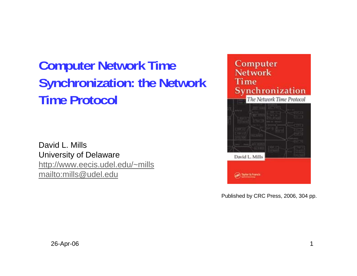# **Computer Network Time Synchronization: the Network Time Protocol**

David L. MillsUniversity of Delaware http://www.eecis.udel.edu/~mills mailto:mills@udel.edu



Published by CRC Press, 2006, 304 pp.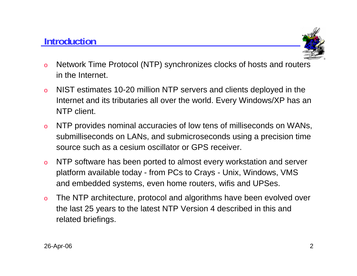## **Introduction**



- o Network Time Protocol (NTP) synchronizes clocks of hosts and routers in the Internet.
- o NIST estimates 10-20 million NTP servers and clients deployed in the Internet and its tributaries all over the world. Every Windows/XP has an NTP client.
- o NTP provides nominal accuracies of low tens of milliseconds on WANs, submilliseconds on LANs, and submicroseconds using a precision time source such as a cesium oscillator or GPS receiver.
- o NTP software has been ported to almost every workstation and server platform available today - from PCs to Crays - Unix, Windows, VMS and embedded systems, even home routers, wifis and UPSes.
- o The NTP architecture, protocol and algorithms have been evolved over the last 25 years to the latest NTP Version 4 described in this and related briefings.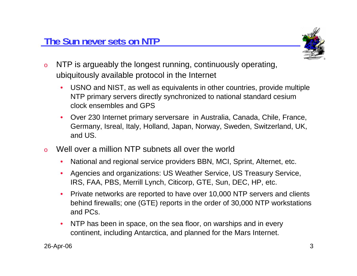

- o NTP is argueably the longest running, continuously operating, ubiquitously available protocol in the Internet
	- • USNO and NIST, as well as equivalents in other countries, provide multiple NTP primary servers directly synchronized to national standard cesium clock ensembles and GPS
	- $\bullet$  Over 230 Internet primary serversare in Australia, Canada, Chile, France, Germany, Isreal, Italy, Holland, Japan, Norway, Sweden, Switzerland, UK, and US.
- o Well over a million NTP subnets all over the world
	- •National and regional service providers BBN, MCI, Sprint, Alternet, etc.
	- • Agencies and organizations: US Weather Service, US Treasury Service, IRS, FAA, PBS, Merrill Lynch, Citicorp, GTE, Sun, DEC, HP, etc.
	- • Private networks are reported to have over 10,000 NTP servers and clients behind firewalls; one (GTE) reports in the order of 30,000 NTP workstations and PCs.
	- $\bullet$  NTP has been in space, on the sea floor, on warships and in every continent, including Antarctica, and planned for the Mars Internet.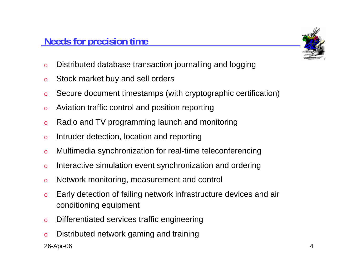

- oDistributed database transaction journalling and logging
- oStock market buy and sell orders
- oSecure document timestamps (with cryptographic certification)
- oAviation traffic control and position reporting
- oRadio and TV programming launch and monitoring
- oIntruder detection, location and reporting
- oMultimedia synchronization for real-time teleconferencing
- oInteractive simulation event synchronization and ordering
- oNetwork monitoring, measurement and control
- o Early detection of failing network infrastructure devices and air conditioning equipment
- oDifferentiated services traffic engineering
- oDistributed network gaming and training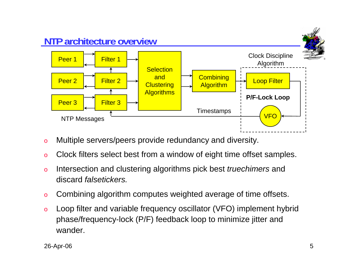

- oMultiple servers/peers provide redundancy and diversity.
- oClock filters select best from a window of eight time offset samples.
- o Intersection and clustering algorithms pick best *truechimers* and discard *falsetickers.*
- oCombining algorithm computes weighted average of time offsets.
- o Loop filter and variable frequency oscillator (VFO) implement hybrid phase/frequency-lock (P/F) feedback loop to minimize jitter and wander.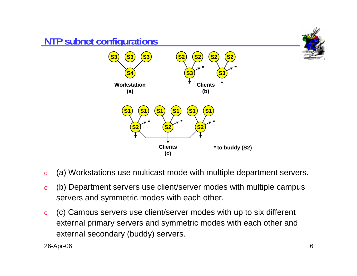

- o(a) Workstations use multicast mode with multiple department servers.
- o (b) Department servers use client/server modes with multiple campus servers and symmetric modes with each other.
- o (c) Campus servers use client/server modes with up to six different external primary servers and symmetric modes with each other and external secondary (buddy) servers.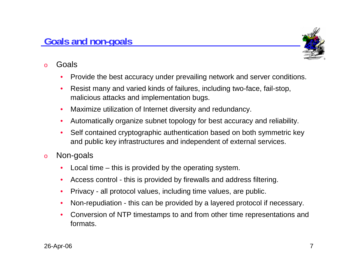#### **Goals and non-goals**

- o Goals
	- •Provide the best accuracy under prevailing network and server conditions.
	- • Resist many and varied kinds of failures, including two-face, fail-stop, malicious attacks and implementation bugs.
	- •Maximize utilization of Internet diversity and redundancy.
	- $\bullet$ Automatically organize subnet topology for best accuracy and reliability.
	- • Self contained cryptographic authentication based on both symmetric key and public key infrastructures and independent of external services.
- o Non-goals
	- •Local time – this is provided by the operating system.
	- •Access control - this is provided by firewalls and address filtering.
	- •Privacy - all protocol values, including time values, are public.
	- •Non-repudiation - this can be provided by a layered protocol if necessary.
	- • Conversion of NTP timestamps to and from other time representations and formats.

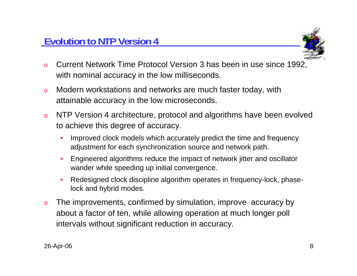

- o Current Network Time Protocol Version 3 has been in use since 1992, with nominal accuracy in the low milliseconds.
- o Modern workstations and networks are much faster today, with attainable accuracy in the low microseconds.
- o NTP Version 4 architecture, protocol and algorithms have been evolved to achieve this degree of accuracy.
	- • Improved clock models which accurately predict the time and frequency adjustment for each synchronization source and network path.
	- • Engineered algorithms reduce the impact of network jitter and oscillator wander while speeding up initial convergence.
	- • Redesigned clock discipline algorithm operates in frequency-lock, phaselock and hybrid modes.
- o The improvements, confirmed by simulation, improve accuracy by about a factor of ten, while allowing operation at much longer poll intervals without significant reduction in accuracy.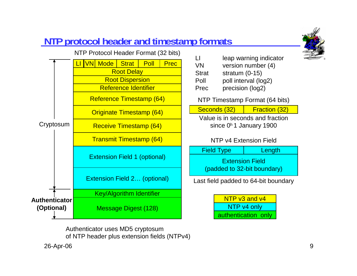# **NTP protocol header and timestamp formats**



Authenticator uses MD5 cryptosum

of NTP header plus extension fields (NTPv4)

VN version number (4) Strat stratum (0-15) Poll poll interval (log2) Prec precision (log2)

NTP Timestamp Format (64 bits)

#### Seconds (32) | Fraction (32)

Value is in seconds and fractionsince 0<sup>h</sup> 1 January 1900

#### NTP v4 Extension Field

| <b>Field Type</b>                                     | Length |
|-------------------------------------------------------|--------|
| <b>Extension Field</b><br>(padded to 32-bit boundary) |        |
|                                                       |        |

Last field padded to 64-bit boundary

NTP v3 and v4 NTP v4 only authentication only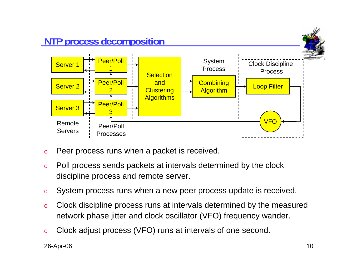

- oPeer process runs when a packet is received.
- o Poll process sends packets at intervals determined by the clock discipline process and remote server.
- oSystem process runs when a new peer process update is received.
- o Clock discipline process runs at intervals determined by the measured network phase jitter and clock oscillator (VFO) frequency wander.
- oClock adjust process (VFO) runs at intervals of one second.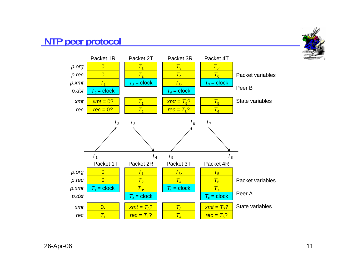#### **NTP peer protocol**



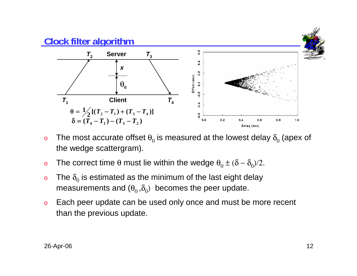

- o $\,$  The most accurate offset  $\theta_{0}$  is measured at the lowest delay  $\delta_{0}$  (apex of the wedge scattergram).
- o $\rm o$  The correct time θ must lie within the wedge  $\rm \theta_{0}$   $\pm$  (δ –  $\rm \delta_{0}$ )/2.
- oo The  $\delta_0$  is estimated as the minimum of the last eight delay measurements and  $(\theta_0, \delta_0)$  becomes the peer update.
- o Each peer update can be used only once and must be more recent than the previous update.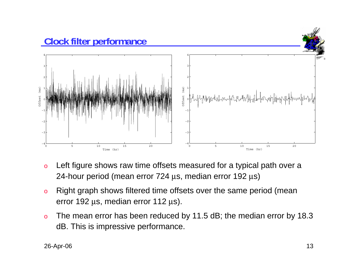

- o Left figure shows raw time offsets measured for a typical path over a 24-hour period (mean error 724 μs, median error 192 μs)
- o Right graph shows filtered time offsets over the same period (mean error 192 μs, median error 112 μs).
- o The mean error has been reduced by 11.5 dB; the median error by 18.3 dB. This is impressive performance.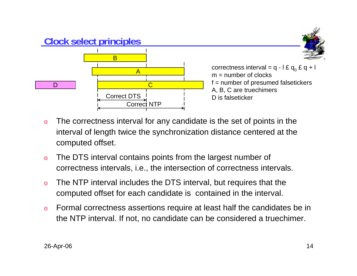

- o The correctness interval for any candidate is the set of points in the interval of length twice the synchronization distance centered at the computed offset.
- o The DTS interval contains points from the largest number of correctness intervals, i.e., the intersection of correctness intervals.
- o The NTP interval includes the DTS interval, but requires that the computed offset for each candidate is contained in the interval.
- o Formal correctness assertions require at least half the candidates be in the NTP interval. If not, no candidate can be considered a truechimer.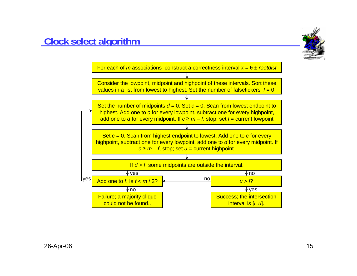

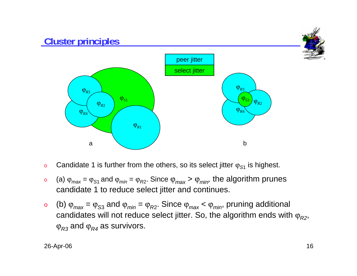

- oCandidate 1 is further from the others, so its select jitter ϕ*S*<sup>1</sup> is highest.
- o (a) ϕ*max* <sup>=</sup>ϕ*S*1 and ϕ*min* <sup>=</sup>ϕ*<sup>R</sup>*2. Since ϕ*max* <sup>&</sup>gt;ϕ*min,* the algorithm prunes candidate 1 to reduce select jitter and continues.
- o (b) ϕ*max* <sup>=</sup>ϕ*<sup>S</sup>*<sup>3</sup> and ϕ*min* <sup>=</sup>ϕ*<sup>R</sup>*2. Since ϕ*max* <sup>&</sup>lt;ϕ*min*, pruning additional candidates will not reduce select jitter. So, the algorithm ends with  $\varphi_{R2}$ ,  $\operatorname{\varphi}_{R3}$  and  $\operatorname{\varphi}_{R4}$  as survivors.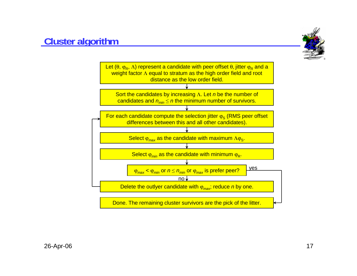### **Cluster algorithm**



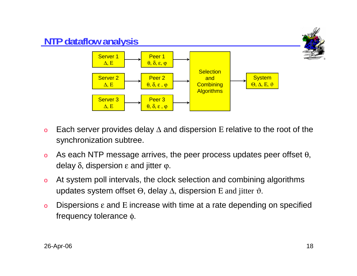

- oEach server provides delay  $\Delta$  and dispersion E relative to the root of the synchronization subtree.
- oAs each NTP message arrives, the peer process updates peer offset  $\theta$ , delay  $\delta$ , dispersion  $ε$  and jitter  $φ$ .
- o At system poll intervals, the clock selection and combining algorithms updates system offset  $\Theta$ , delay  $\Delta$ , dispersion E and jitter  $\vartheta$ .
- oDispersions  $\varepsilon$  and E increase with time at a rate depending on specified frequency tolerance φ.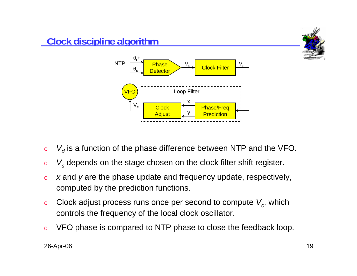

- o $\circ$   $\,$   $\,$   $V_{d}$  is a function of the phase difference between NTP and the VFO.
- o*Vs* depends on the stage chosen on the clock filter shift register.
- o *<sup>x</sup>* and *y* are the phase update and frequency update, respectively, computed by the prediction functions.
- oClock adjust process runs once per second to compute  $V_c$ , which controls the frequency of the local clock oscillator.
- oVFO phase is compared to NTP phase to close the feedback loop.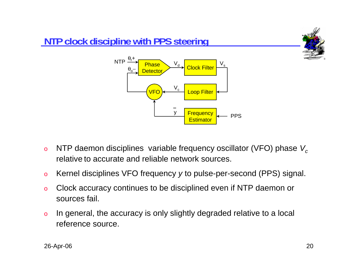

- oNTP daemon disciplines variable frequency oscillator (VFO) phase V<sub>c</sub> relative to accurate and reliable network sources.
- oKernel disciplines VFO frequency *y* to pulse-per-second (PPS) signal.
- o Clock accuracy continues to be disciplined even if NTP daemon or sources fail.
- o In general, the accuracy is only slightly degraded relative to a local reference source.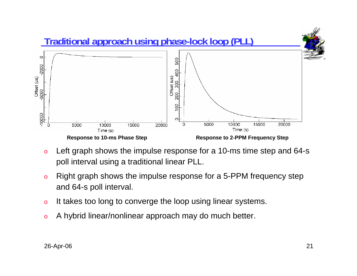

- o Left graph shows the impulse response for a 10-ms time step and 64-s poll interval using a traditional linear PLL.
- o Right graph shows the impulse response for a 5-PPM frequency step and 64-s poll interval.
- oIt takes too long to converge the loop using linear systems.
- oA hybrid linear/nonlinear approach may do much better.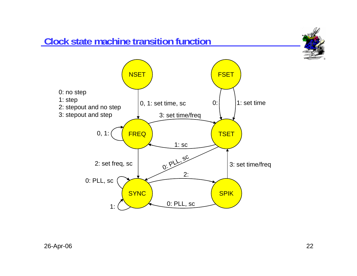## **Clock state machine transition function**



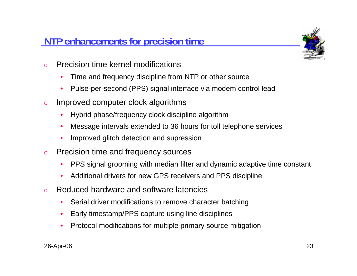## **NTP enhancements for precision time**



- o Precision time kernel modifications
	- •Time and frequency discipline from NTP or other source
	- •Pulse-per-second (PPS) signal interface via modem control lead
- o Improved computer clock algorithms
	- •Hybrid phase/frequency clock discipline algorithm
	- •Message intervals extended to 36 hours for toll telephone services
	- •Improved glitch detection and supression
- o Precision time and frequency sources
	- •PPS signal grooming with median filter and dynamic adaptive time constant
	- •Additional drivers for new GPS receivers and PPS discipline
- o Reduced hardware and software latencies
	- $\bullet$ Serial driver modifications to remove character batching
	- •Early timestamp/PPS capture using line disciplines
	- •Protocol modifications for multiple primary source mitigation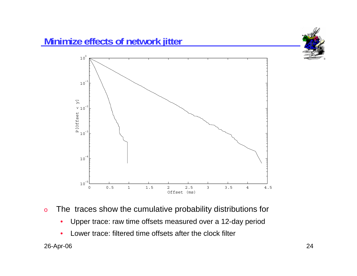

- o The traces show the cumulative probability distributions for
	- •Upper trace: raw time offsets measured over a 12-day period
	- •Lower trace: filtered time offsets after the clock filter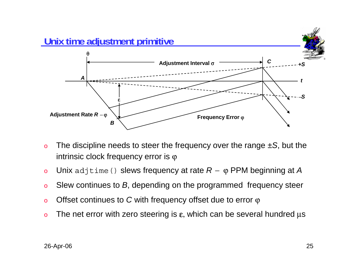

- o The discipline needs to steer the frequency over the range *±S*, but the intrinsic clock frequency error is  $\varphi$
- oUnix adjtime() slews frequency at rate *R* <sup>−</sup> ϕ PPM beginning at *A*
- oSlew continues to *B*, depending on the programmed frequency steer
- oOffset continues to *C* with frequency offset due to error ϕ
- oThe net error with zero steering is  $\varepsilon$ , which can be several hundred  $\mu$ s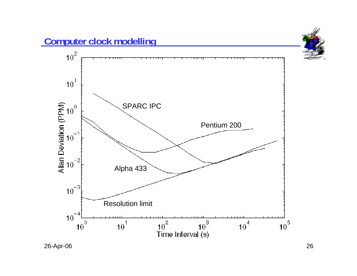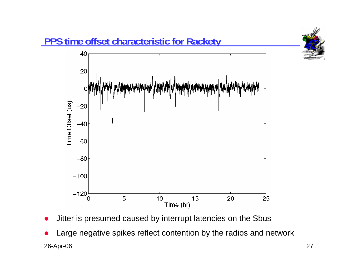

- O Jitter is presumed caused by interrupt latencies on the Sbus
- 26-Apr-06 27 O Large negative spikes reflect contention by the radios and network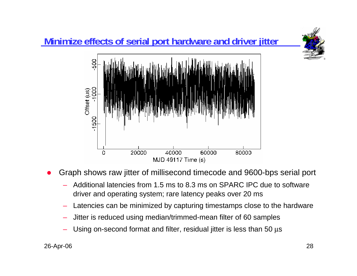

- $\bullet$  Graph shows raw jitter of millisecond timecode and 9600-bps serial port
	- Additional latencies from 1.5 ms to 8.3 ms on SPARC IPC due to software driver and operating system; rare latency peaks over 20 ms
	- –Latencies can be minimized by capturing timestamps close to the hardware
	- Jitter is reduced using median/trimmed-mean filter of 60 samples
	- Using on-second format and filter, residual jitter is less than 50 μ<sup>s</sup>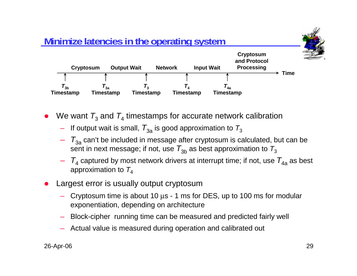

- O  $\bullet$  We want  $\mathcal{T}_3$  and  $\mathcal{T}_4$  timestamps for accurate network calibration
	- – $-$  If output wait is small,  $\,_{3\mathrm{a}}$  is good approximation to  $\,_{3\mathrm{a}}$
	- $-\quad$   $T_{3{\rm a}}$  can't be included in message after cryptosum is calculated, but can be sent in next message; if not, use  $\, T_{3\mathrm{b}}$  as best approximation to  $\, T_{3}$
	- *T*<sup>4</sup> captured by most network drivers at interrupt time; if not, use *T*4a as best approximation to  $T_4$
- O Largest error is usually output cryptosum
	- Cryptosum time is about 10 μs 1 ms for DES, up to 100 ms for modular exponentiation, depending on architecture
	- Block-cipher running time can be measured and predicted fairly well
	- Actual value is measured during operation and calibrated out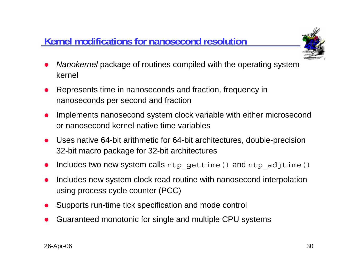# **Kernel modifications for nanosecond resolution**



- O *Nanokernel* package of routines compiled with the operating system kernel
- O Represents time in nanoseconds and fraction, frequency in nanoseconds per second and fraction
- O Implements nanosecond system clock variable with either microsecond or nanosecond kernel native time variables
- O Uses native 64-bit arithmetic for 64-bit architectures, double-precision 32-bit macro package for 32-bit architectures
- O Includes two new system calls ntp\_gettime() and ntp\_adjtime()
- O Includes new system clock read routine with nanosecond interpolation using process cycle counter (PCC)
- O Supports run-time tick specification and mode control
- O Guaranteed monotonic for single and multiple CPU systems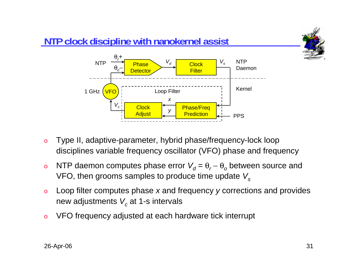

- o Type II, adaptive-parameter, hybrid phase/frequency-lock loop disciplines variable frequency oscillator (VFO) phase and frequency
- o<u>o</u> NTP daemon computes phase error  $V<sub>d</sub> = θ<sub>r</sub> − θ<sub>o</sub>$  between source and VFO, then grooms samples to produce time update *Vs*
- o Loop filter computes phase *<sup>x</sup>* and frequency *y* corrections and provides new adjustments  $\boldsymbol{V_c}$  at 1-s intervals
- oVFO frequency adjusted at each hardware tick interrupt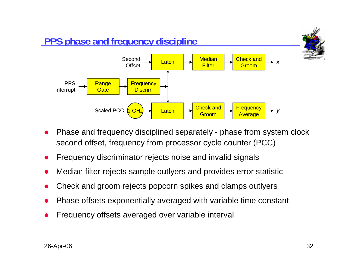

- O Phase and frequency disciplined separately - phase from system clock second offset, frequency from processor cycle counter (PCC)
- O Frequency discriminator rejects noise and invalid signals
- O Median filter rejects sample outlyers and provides error statistic
- O Check and groom rejects popcorn spikes and clamps outlyers
- O Phase offsets exponentially averaged with variable time constant
- O Frequency offsets averaged over variable interval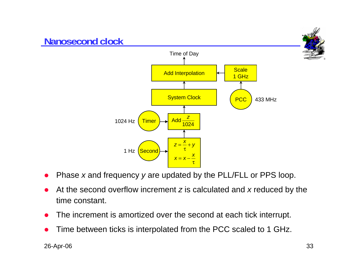

- O Phase *<sup>x</sup>* and frequency *y* are updated by the PLL/FLL or PPS loop.
- O At the second overflow increment *<sup>z</sup>* is calculated and *<sup>x</sup>* reduced by the time constant.
- O The increment is amortized over the second at each tick interrupt.
- O Time between ticks is interpolated from the PCC scaled to 1 GHz.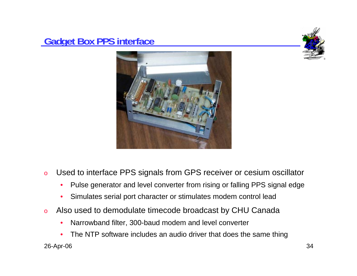#### **Gadget Box PPS interface**





- o Used to interface PPS signals from GPS receiver or cesium oscillator
	- •Pulse generator and level converter from rising or falling PPS signal edge
	- •Simulates serial port character or stimulates modem control lead
- o Also used to demodulate timecode broadcast by CHU Canada
	- •Narrowband filter, 300-baud modem and level converter
- 26-Apr-06 34 •The NTP software includes an audio driver that does the same thing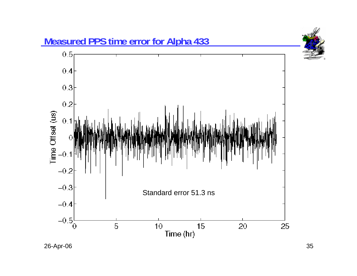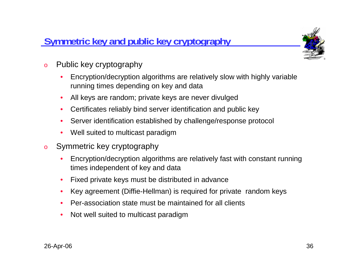# **Symmetric key and public key cryptography**



- o Public key cryptography
	- • Encryption/decryption algorithms are relatively slow with highly variable running times depending on key and data
	- •All keys are random; private keys are never divulged
	- •Certificates reliably bind server identification and public key
	- •Server identification established by challenge/response protocol
	- $\bullet$ Well suited to multicast paradigm
- o Symmetric key cryptography
	- • Encryption/decryption algorithms are relatively fast with constant running times independent of key and data
	- $\bullet$ Fixed private keys must be distributed in advance
	- •Key agreement (Diffie-Hellman) is required for private random keys
	- •Per-association state must be maintained for all clients
	- •Not well suited to multicast paradigm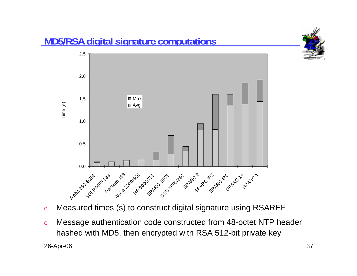

- oMeasured times (s) to construct digital signature using RSAREF
- 26-Apr-06 37 o Message authentication code constructed from 48-octet NTP header hashed with MD5, then encrypted with RSA 512-bit private key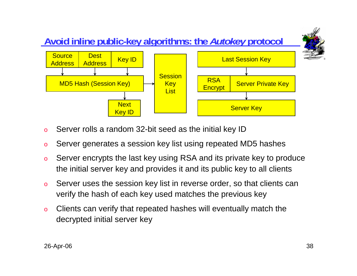

- oServer rolls a random 32-bit seed as the initial key ID
- oServer generates a session key list using repeated MD5 hashes
- o Server encrypts the last key using RSA and its private key to produce the initial server key and provides it and its public key to all clients
- o Server uses the session key list in reverse order, so that clients can verify the hash of each key used matches the previous key
- o Clients can verify that repeated hashes will eventually match the decrypted initial server key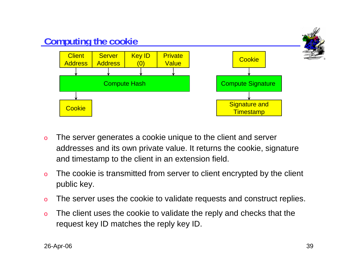

- o The server generates a cookie unique to the client and server addresses and its own private value. It returns the cookie, signature and timestamp to the client in an extension field.
- o The cookie is transmitted from server to client encrypted by the client public key.
- oThe server uses the cookie to validate requests and construct replies.
- o The client uses the cookie to validate the reply and checks that the request key ID matches the reply key ID.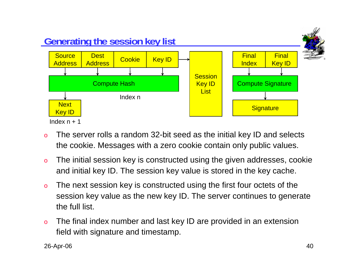

- o The server rolls a random 32-bit seed as the initial key ID and selects the cookie. Messages with a zero cookie contain only public values.
- o The initial session key is constructed using the given addresses, cookie and initial key ID. The session key value is stored in the key cache.
- o The next session key is constructed using the first four octets of the session key value as the new key ID. The server continues to generate the full list.
- o The final index number and last key ID are provided in an extension field with signature and timestamp.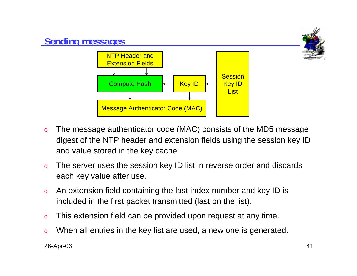

- o The message authenticator code (MAC) consists of the MD5 message digest of the NTP header and extension fields using the session key ID and value stored in the key cache.
- o The server uses the session key ID list in reverse order and discards each key value after use.
- o An extension field containing the last index number and key ID is included in the first packet transmitted (last on the list).
- oThis extension field can be provided upon request at any time.
- oWhen all entries in the key list are used, a new one is generated.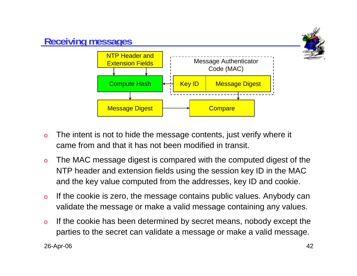

- o The intent is not to hide the message contents, just verify where it came from and that it has not been modified in transit.
- o The MAC message digest is compared with the computed digest of the NTP header and extension fields using the session key ID in the MAC and the key value computed from the addresses, key ID and cookie.
- o If the cookie is zero, the message contains public values. Anybody can validate the message or make a valid message containing any values.
- o If the cookie has been determined by secret means, nobody except the parties to the secret can validate a message or make a valid message.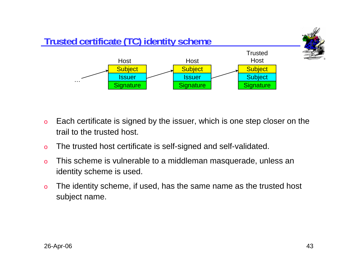

- o Each certificate is signed by the issuer, which is one step closer on the trail to the trusted host.
- oThe trusted host certificate is self-signed and self-validated.
- o This scheme is vulnerable to a middleman masquerade, unless an identity scheme is used.
- o The identity scheme, if used, has the same name as the trusted host subject name.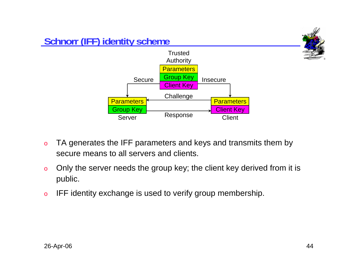

- o TA generates the IFF parameters and keys and transmits them by secure means to all servers and clients.
- o Only the server needs the group key; the client key derived from it is public.
- oIFF identity exchange is used to verify group membership.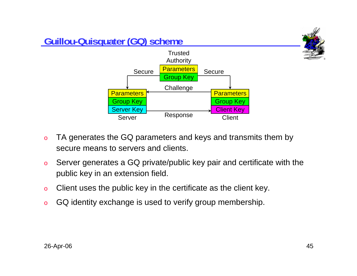

- o TA generates the GQ parameters and keys and transmits them by secure means to servers and clients.
- o Server generates a GQ private/public key pair and certificate with the public key in an extension field.
- oClient uses the public key in the certificate as the client key.
- oGQ identity exchange is used to verify group membership.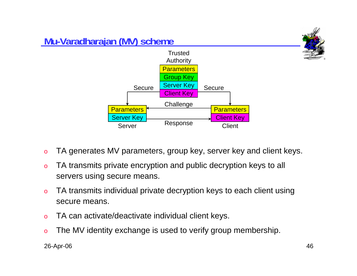

- oTA generates MV parameters, group key, server key and client keys.
- o TA transmits private encryption and public decryption keys to all servers using secure means.
- o TA transmits individual private decryption keys to each client using secure means.
- oTA can activate/deactivate individual client keys.
- oThe MV identity exchange is used to verify group membership.